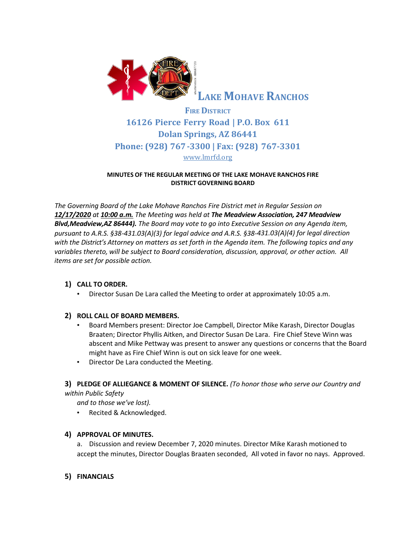

**LAKE MOHAVE RANCHOS**

# **FIRE DISTRICT 16126 Pierce Ferry Road | P.O. Box 611 Dolan Springs, AZ 86441 Phone: (928) 767-3300 | Fax: (928) 767-3301** [www.lmrfd.org](http://www.lmrfd.org/)

#### **MINUTES OF THE REGULAR MEETING OF THE LAKE MOHAVE RANCHOS FIRE DISTRICT GOVERNING BOARD**

*The Governing Board of the Lake Mohave Ranchos Fire District met in Regular Session on 12/17/2020 at 10:00 a.m. The Meeting was held at The Meadview Association, 247 Meadview Blvd,Meadview,AZ 86444). The Board may vote to go into Executive Session on any Agenda item, pursuant to A.R.S. §38-431.03(A)(3) for legal advice and A.R.S. §38-431.03(A)(4) for legal direction with the District's Attorney on matters as set forth in the Agenda item. The following topics and any variables thereto, will be subject to Board consideration, discussion, approval, or other action. All items are set for possible action.*

## **1) CALL TO ORDER.**

• Director Susan De Lara called the Meeting to order at approximately 10:05 a.m.

# **2) ROLL CALL OF BOARD MEMBERS.**

- Board Members present: Director Joe Campbell, Director Mike Karash, Director Douglas Braaten; Director Phyllis Aitken, and Director Susan De Lara. Fire Chief Steve Winn was abscent and Mike Pettway was present to answer any questions or concerns that the Board might have as Fire Chief Winn is out on sick leave for one week.
- Director De Lara conducted the Meeting.

# **3) PLEDGE OF ALLIEGANCE & MOMENT OF SILENCE.** *(To honor those who serve our Country and within Public Safety*

*and to those we've lost).*

• Recited & Acknowledged.

## **4) APPROVAL OF MINUTES.**

a. Discussion and review December 7, 2020 minutes. Director Mike Karash motioned to accept the minutes, Director Douglas Braaten seconded, All voted in favor no nays. Approved.

# **5) FINANCIALS**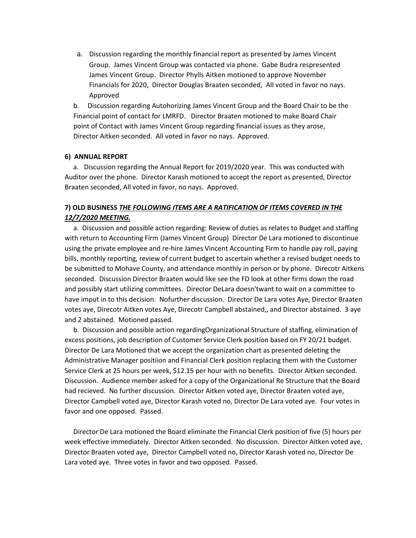a. Discussion regarding the monthly financial report as presented by James Vincent Group. James Vincent Group was contacted via phone. Gabe Budra respresented James Vincent Group. Director Phylls Aitken motioned to approve November Financials for 2020, Director Douglas Braaten seconded, All voted in favor no nays. Approved

b. Discussion regarding Autohorizing James Vincent Group and the Board Chair to be the Financial point of contact for LMRFD. Director Braaten motioned to make Board Chair point of Contact with James Vincent Group regarding financial issues as they arose, Director Aitken seconded. All voted in favor no nays. Approved.

#### **6) ANNUAL REPORT**

a. Discussion regarding the Annual Report for 2019/2020 year. This was conducted with Auditor over the phone. Director Karash motioned to accept the report as presented, Director Braaten seconded, All voted in favor, no nays. Approved.

# **7) OLD BUSINESS** *THE FOLLOWING ITEMS ARE A RATIFICATION OF ITEMS COVERED IN THE 12/7/2020 MEETING.*

a. Discussion and possible action regarding: Review of duties as relates to Budget and staffing with return to Accounting Firm (James Vincent Group) Director De Lara motioned to discontinue using the private employee and re-hire James Vincent Accounting Firm to handle pay roll, paying bills, monthly reporting, review of current budget to ascertain whether a revised budget needs to be submitted to Mohave County, and attendance monthly in person or by phone. Direcotr Aitkens seconded. Discussion Director Braaten would like see the FD look at other firms down the road and possibly start utilizing committees. Director DeLara doesn'twant to wait on a committee to have imput in to this decision. Nofurther discussion. Director De Lara votes Aye, Director Braaten votes aye, Direcotr Aitken votes Aye, Direcotr Campbell abstained,, and Director abstained. 3 aye and 2 abstained. Motioned passed.

b. Discussion and possible action regardingOrganizational Structure of staffing, elimination of excess positions, job description of Customer Service Clerk position based on FY 20/21 budget. Director De Lara Motioned that we accept the organization chart as presented deleting the Administrative Manager positiion and Financial Clerk position replacing them with the Customer Service Clerk at 25 hours per week, \$12.15 per hour with no benefits. Director Aitken seconded. Discussion. Audience member asked for a copy of the Organizational Re Structure that the Board had recieved. No further discussion. Director Aitken voted aye, Director Braaten voted aye, Director Campbell voted aye, Director Karash voted no, Director De Lara voted aye. Four votes in favor and one opposed. Passed.

Director De Lara motioned the Board eliminate the Financial Clerk position of five (5) hours per week effective immediately. Director Aitken seconded. No discussion. Director Aitken voted aye, Director Braaten voted aye, Director Campbell voted no, Director Karash voted no, Director De Lara voted aye. Three votes in favor and two opposed. Passed.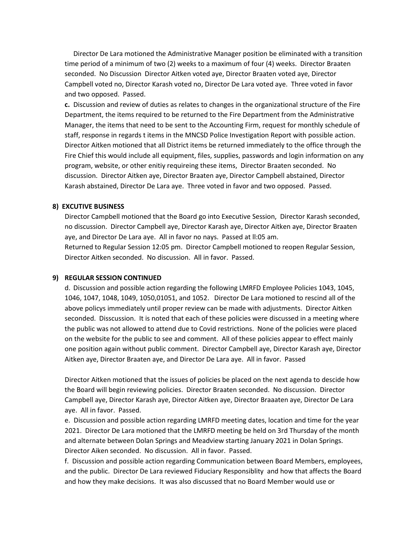Director De Lara motioned the Administrative Manager position be eliminated with a transition time period of a minimum of two (2) weeks to a maximum of four (4) weeks. Director Braaten seconded. No Discussion Director Aitken voted aye, Director Braaten voted aye, Director Campbell voted no, Director Karash voted no, Director De Lara voted aye. Three voted in favor and two opposed. Passed.

**c.** Discussion and review of duties as relates to changes in the organizational structure of the Fire Department, the items required to be returned to the Fire Department from the Administrative Manager, the items that need to be sent to the Accounting Firm, request for monthly schedule of staff, response in regards t items in the MNCSD Police Investigation Report with possible action. Director Aitken motioned that all District items be returned immediately to the office through the Fire Chief this would include all equipment, files, supplies, passwords and login information on any program, website, or other enitiy requireing these items, Director Braaten seconded. No discussion. Director Aitken aye, Director Braaten aye, Director Campbell abstained, Director Karash abstained, Director De Lara aye. Three voted in favor and two opposed. Passed.

#### **8) EXCUTIVE BUSINESS**

Director Campbell motioned that the Board go into Executive Session, Director Karash seconded, no discussion. Director Campbell aye, Director Karash aye, Director Aitken aye, Director Braaten aye, and Director De Lara aye. All in favor no nays. Passed at ll:05 am. Returned to Regular Session 12:05 pm. Director Campbell motioned to reopen Regular Session, Director Aitken seconded. No discussion. All in favor. Passed.

#### **9) REGULAR SESSION CONTINUED**

d. Discussion and possible action regarding the following LMRFD Employee Policies 1043, 1045, 1046, 1047, 1048, 1049, 1050,01051, and 1052.Director De Lara motioned to rescind all of the above policys immediately until proper review can be made with adjustments. Director Aitken seconded. Disscussion. It is noted that each of these policies were discussed in a meeting where the public was not allowed to attend due to Covid restrictions. None of the policies were placed on the website for the public to see and comment. All of these policies appear to effect mainly one position again without public comment. Director Campbell aye, Director Karash aye, Director Aitken aye, Director Braaten aye, and Director De Lara aye. All in favor. Passed

Director Aitken motioned that the issues of policies be placed on the next agenda to descide how the Board will begin reviewing policies. Director Braaten seconded. No discussion. Director Campbell aye, Director Karash aye, Director Aitken aye, Director Braaaten aye, Director De Lara aye. All in favor. Passed.

e. Discussion and possible action regarding LMRFD meeting dates, location and time for the year 2021. Director De Lara motioned that the LMRFD meeting be held on 3rd Thursday of the month and alternate between Dolan Springs and Meadview starting January 2021 in Dolan Springs. Director Aiken seconded. No discussion. All in favor. Passed.

f. Discussion and possible action regarding Communication between Board Members, employees, and the public. Director De Lara reviewed Fiduciary Responsiblity and how that affects the Board and how they make decisions. It was also discussed that no Board Member would use or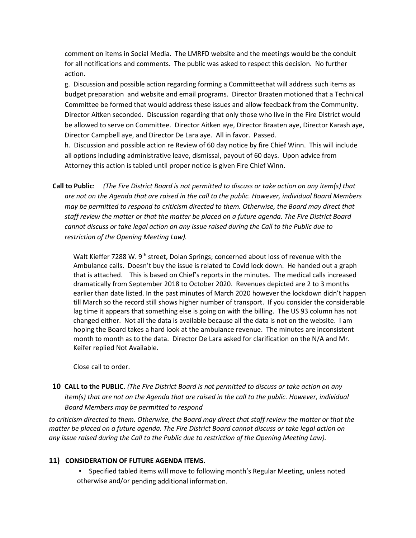comment on items in Social Media. The LMRFD website and the meetings would be the conduit for all notifications and comments. The public was asked to respect this decision. No further action.

g. Discussion and possible action regarding forming a Committeethat will address such items as budget preparation and website and email programs. Director Braaten motioned that a Technical Committee be formed that would address these issues and allow feedback from the Community. Director Aitken seconded. Discussion regarding that only those who live in the Fire District would be allowed to serve on Committee. Director Aitken aye, Director Braaten aye, Director Karash aye, Director Campbell aye, and Director De Lara aye. All in favor. Passed.

h. Discussion and possible action re Review of 60 day notice by fire Chief Winn. This will include all options including administrative leave, dismissal, payout of 60 days. Upon advice from Attorney this action is tabled until proper notice is given Fire Chief Winn.

**Call to Public**: *(The Fire District Board is not permitted to discuss or take action on any item(s) that are not on the Agenda that are raised in the call to the public. However, individual Board Members may be permitted to respond to criticism directed to them. Otherwise, the Board may direct that staff review the matter or that the matter be placed on a future agenda. The Fire District Board cannot discuss or take legal action on any issue raised during the Call to the Public due to restriction of the Opening Meeting Law).*

Walt Kieffer 7288 W. 9<sup>th</sup> street, Dolan Springs; concerned about loss of revenue with the Ambulance calls. Doesn't buy the issue is related to Covid lock down. He handed out a graph that is attached. This is based on Chief's reports in the minutes. The medical calls increased dramatically from September 2018 to October 2020. Revenues depicted are 2 to 3 months earlier than date listed. In the past minutes of March 2020 however the lockdown didn't happen till March so the record still shows higher number of transport. If you consider the considerable lag time it appears that something else is going on with the billing. The US 93 column has not changed either. Not all the data is available because all the data is not on the website. I am hoping the Board takes a hard look at the ambulance revenue. The minutes are inconsistent month to month as to the data. Director De Lara asked for clarification on the N/A and Mr. Keifer replied Not Available.

Close call to order.

**10 CALL to the PUBLIC.** *(The Fire District Board is not permitted to discuss or take action on any item(s) that are not on the Agenda that are raised in the call to the public. However, individual Board Members may be permitted to respond*

*to criticism directed to them. Otherwise, the Board may direct that staff review the matter or that the matter be placed on a future agenda. The Fire District Board cannot discuss or take legal action on any issue raised during the Call to the Public due to restriction of the Opening Meeting Law).*

## **11) CONSIDERATION OF FUTURE AGENDA ITEMS.**

▪ Specified tabled items will move to following month's Regular Meeting, unless noted otherwise and/or pending additional information.